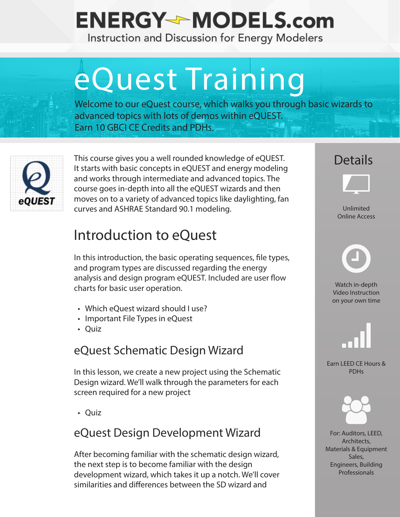# **ENERGY-MODELS.com** Instruction and Discussion for Energy Modelers

# eQuest Training

Welcome to our eQuest course, which walks you through basic wizards to advanced topics with lots of demos within eQUEST. Earn 10 GBCI CE Credits and PDHs.



This course gives you a well rounded knowledge of eQUEST. It starts with basic concepts in eQUEST and energy modeling and works through intermediate and advanced topics. The course goes in-depth into all the eQUEST wizards and then moves on to a variety of advanced topics like daylighting, fan curves and ASHRAE Standard 90.1 modeling.

# Introduction to eQuest

In this introduction, the basic operating sequences, file types, and program types are discussed regarding the energy analysis and design program eQUEST. Included are user flow charts for basic user operation.

- Which eQuest wizard should I use?
- Important File Types in eQuest
- Quiz

# eQuest Schematic Design Wizard

In this lesson, we create a new project using the Schematic Design wizard. We'll walk through the parameters for each screen required for a new project

• Quiz

# eQuest Design Development Wizard

After becoming familiar with the schematic design wizard, the next step is to become familiar with the design development wizard, which takes it up a notch. We'll cover similarities and differences between the SD wizard and

# **Details**



Unlimited Online Access



Watch in-depth Video Instruction on your own time



Earn LEED CE Hours & PDHs



For: Auditors, LEED, Architects, Materials & Equipment Sales, Engineers, Building Professionals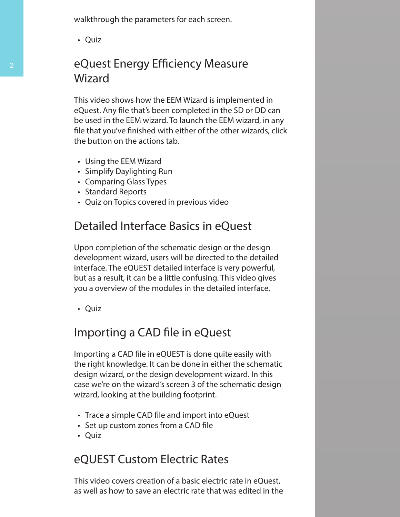walkthrough the parameters for each screen.

• Quiz

## eQuest Energy Efficiency Measure Wizard

This video shows how the EEM Wizard is implemented in eQuest. Any file that's been completed in the SD or DD can be used in the EEM wizard. To launch the EEM wizard, in any file that you've finished with either of the other wizards, click the button on the actions tab.

- Using the EEM Wizard
- Simplify Daylighting Run
- Comparing Glass Types
- Standard Reports
- Quiz on Topics covered in previous video

#### Detailed Interface Basics in eQuest

Upon completion of the schematic design or the design development wizard, users will be directed to the detailed interface. The eQUEST detailed interface is very powerful, but as a result, it can be a little confusing. This video gives you a overview of the modules in the detailed interface.

• Quiz

#### Importing a CAD file in eQuest

Importing a CAD file in eQUEST is done quite easily with the right knowledge. It can be done in either the schematic design wizard, or the design development wizard. In this case we're on the wizard's screen 3 of the schematic design wizard, looking at the building footprint.

- Trace a simple CAD file and import into eQuest
- Set up custom zones from a CAD file
- Quiz

#### eQUEST Custom Electric Rates

This video covers creation of a basic electric rate in eQuest, as well as how to save an electric rate that was edited in the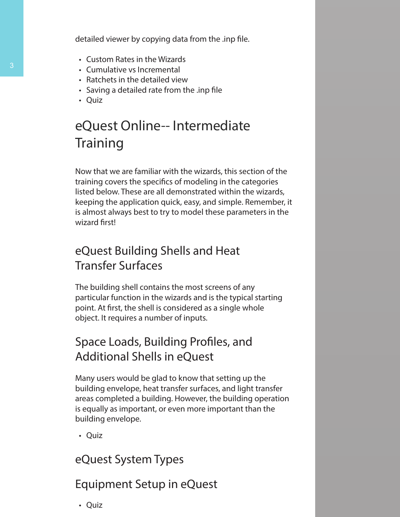detailed viewer by copying data from the .inp file.

- Custom Rates in the Wizards
- Cumulative vs Incremental
- Ratchets in the detailed view
- Saving a detailed rate from the .inp file
- Quiz

# eQuest Online-- Intermediate **Training**

Now that we are familiar with the wizards, this section of the training covers the specifics of modeling in the categories listed below. These are all demonstrated within the wizards, keeping the application quick, easy, and simple. Remember, it is almost always best to try to model these parameters in the wizard first!

## eQuest Building Shells and Heat Transfer Surfaces

The building shell contains the most screens of any particular function in the wizards and is the typical starting point. At first, the shell is considered as a single whole object. It requires a number of inputs.

# Space Loads, Building Profiles, and Additional Shells in eQuest

Many users would be glad to know that setting up the building envelope, heat transfer surfaces, and light transfer areas completed a building. However, the building operation is equally as important, or even more important than the building envelope.

• Quiz

#### eQuest System Types

## Equipment Setup in eQuest

• Quiz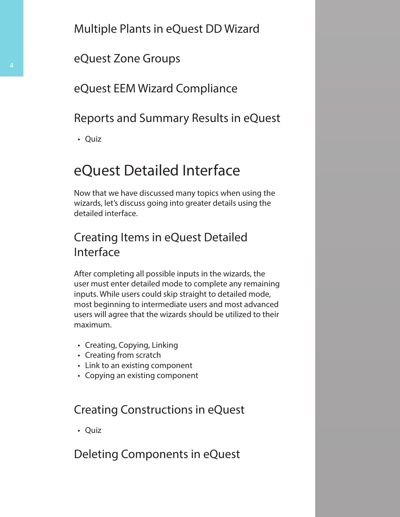Multiple Plants in eQuest DD Wizard

#### eQuest Zone Groups

#### eQuest EEM Wizard Compliance

#### Reports and Summary Results in eQuest

• Quiz

# eQuest Detailed Interface

Now that we have discussed many topics when using the wizards, let's discuss going into greater details using the detailed interface.

## Creating Items in eQuest Detailed Interface

After completing all possible inputs in the wizards, the user must enter detailed mode to complete any remaining inputs. While users could skip straight to detailed mode, most beginning to intermediate users and most advanced users will agree that the wizards should be utilized to their maximum.

- Creating, Copying, Linking
- Creating from scratch
- Link to an existing component
- Copying an existing component

#### Creating Constructions in eQuest

• Quiz

#### Deleting Components in eQuest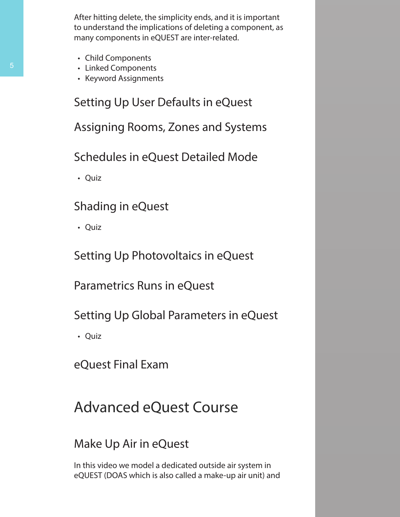After hitting delete, the simplicity ends, and it is important to understand the implications of deleting a component, as many components in eQUEST are inter-related.

- Child Components
- Linked Components
- Keyword Assignments

Setting Up User Defaults in eQuest

Assigning Rooms, Zones and Systems

Schedules in eQuest Detailed Mode

• Quiz

#### Shading in eQuest

• Quiz

Setting Up Photovoltaics in eQuest

Parametrics Runs in eQuest

Setting Up Global Parameters in eQuest

• Quiz

eQuest Final Exam

# Advanced eQuest Course

#### Make Up Air in eQuest

In this video we model a dedicated outside air system in eQUEST (DOAS which is also called a make-up air unit) and